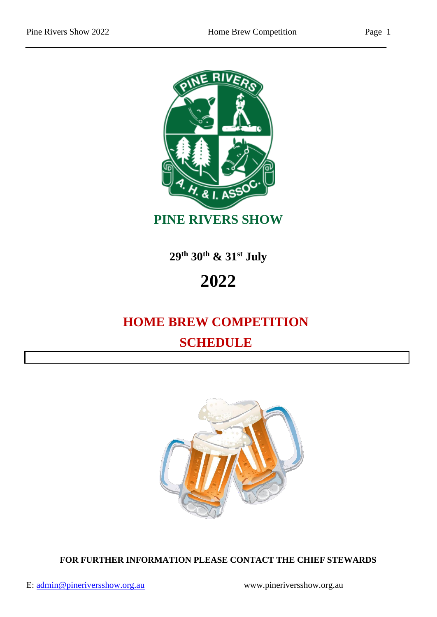

**29th 30th & 31st July**

# **2022**

## **HOME BREW COMPETITION SCHEDULE**



**FOR FURTHER INFORMATION PLEASE CONTACT THE CHIEF STEWARDS**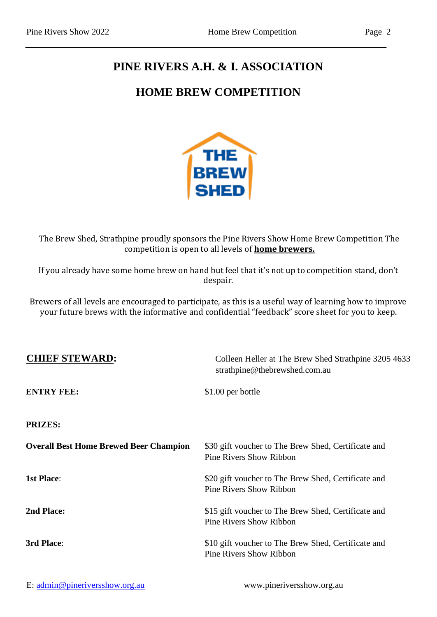#### **PINE RIVERS A.H. & I. ASSOCIATION**

#### **HOME BREW COMPETITION**



The Brew Shed, Strathpine proudly sponsors the Pine Rivers Show Home Brew Competition The competition is open to all levels of **home brewers.**

If you already have some home brew on hand but feel that it's not up to competition stand, don't despair.

Brewers of all levels are encouraged to participate, as this is a useful way of learning how to improve your future brews with the informative and confidential "feedback" score sheet for you to keep.

| <b>CHIEF STEWARD:</b>                         | Colleen Heller at The Brew Shed Strathpine 3205 4633<br>strathpine@thebrewshed.com.au |  |
|-----------------------------------------------|---------------------------------------------------------------------------------------|--|
| <b>ENTRY FEE:</b>                             | \$1.00 per bottle                                                                     |  |
| <b>PRIZES:</b>                                |                                                                                       |  |
| <b>Overall Best Home Brewed Beer Champion</b> | \$30 gift voucher to The Brew Shed, Certificate and<br><b>Pine Rivers Show Ribbon</b> |  |
| <b>1st Place:</b>                             | \$20 gift voucher to The Brew Shed, Certificate and<br><b>Pine Rivers Show Ribbon</b> |  |
| 2nd Place:                                    | \$15 gift voucher to The Brew Shed, Certificate and<br><b>Pine Rivers Show Ribbon</b> |  |
| 3rd Place:                                    | \$10 gift voucher to The Brew Shed, Certificate and<br><b>Pine Rivers Show Ribbon</b> |  |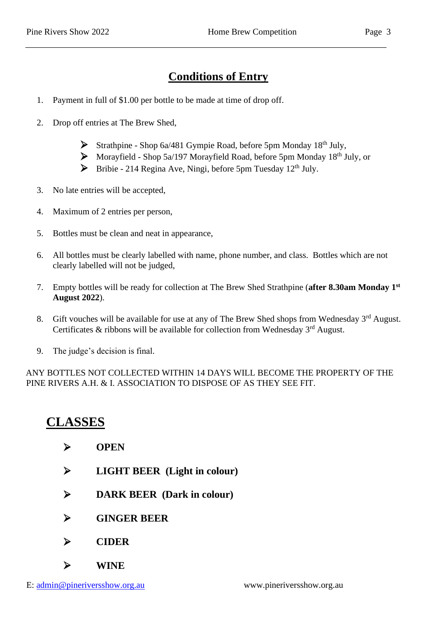#### **Conditions of Entry**

- 1. Payment in full of \$1.00 per bottle to be made at time of drop off.
- 2. Drop off entries at The Brew Shed,
	- $\triangleright$  Strathpine Shop 6a/481 Gympie Road, before 5pm Monday 18<sup>th</sup> July,
	- $\triangleright$  Morayfield Shop 5a/197 Morayfield Road, before 5pm Monday 18<sup>th</sup> July, or
	- $\triangleright$  Bribie 214 Regina Ave, Ningi, before 5pm Tuesday 12<sup>th</sup> July.
- 3. No late entries will be accepted,
- 4. Maximum of 2 entries per person,
- 5. Bottles must be clean and neat in appearance,
- 6. All bottles must be clearly labelled with name, phone number, and class. Bottles which are not clearly labelled will not be judged,
- 7. Empty bottles will be ready for collection at The Brew Shed Strathpine (**after 8.30am Monday 1st August 2022**).
- 8. Gift vouches will be available for use at any of The Brew Shed shops from Wednesday 3<sup>rd</sup> August. Certificates & ribbons will be available for collection from Wednesday  $3<sup>rd</sup>$  August.
- 9. The judge's decision is final.

ANY BOTTLES NOT COLLECTED WITHIN 14 DAYS WILL BECOME THE PROPERTY OF THE PINE RIVERS A.H. & I. ASSOCIATION TO DISPOSE OF AS THEY SEE FIT.

### **CLASSES**

- ➢ **OPEN**
- ➢ **LIGHT BEER (Light in colour)**
- ➢ **DARK BEER (Dark in colour)**
- ➢ **GINGER BEER**
- ➢ **CIDER**
- ➢ **WINE**

E: admin@pineriversshow.org.au www.pineriversshow.org.au